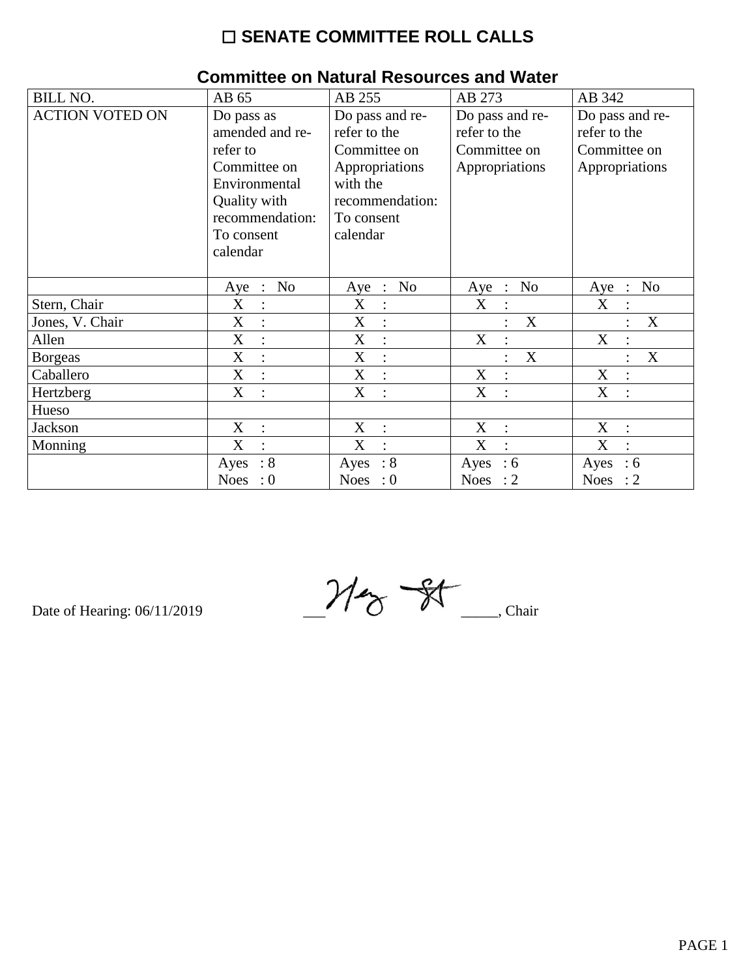# $\square$  SENATE COMMITTEE ROLL CALLS

|                        | oommuud on nauarar Russan oos ana maldi     |                               |                               |                           |
|------------------------|---------------------------------------------|-------------------------------|-------------------------------|---------------------------|
| <b>BILL NO.</b>        | AB 65                                       | AB 255                        | AB 273                        | AB 342                    |
| <b>ACTION VOTED ON</b> | Do pass as                                  | Do pass and re-               | Do pass and re-               | Do pass and re-           |
|                        | amended and re-                             | refer to the                  | refer to the                  | refer to the              |
|                        | refer to                                    | Committee on                  | Committee on                  | Committee on              |
|                        | Committee on                                | Appropriations                | Appropriations                | Appropriations            |
|                        | Environmental                               | with the                      |                               |                           |
|                        | Quality with                                | recommendation:               |                               |                           |
|                        | recommendation:                             | To consent                    |                               |                           |
|                        | To consent                                  | calendar                      |                               |                           |
|                        | calendar                                    |                               |                               |                           |
|                        |                                             |                               |                               |                           |
|                        | N <sub>o</sub><br>Aye :                     | No<br>$Aye$ :                 | No<br>$Aye$ :                 | No<br>$Aye$ :             |
| Stern, Chair           | X<br>$\ddot{\phantom{a}}$                   | X<br>$\ddot{\cdot}$           | X<br>$\bullet$                | X                         |
| Jones, V. Chair        | X                                           | X                             | X                             | X                         |
| Allen                  | $\boldsymbol{\mathrm{X}}$<br>$\ddot{\cdot}$ | X<br>$\vdots$                 | X                             | X                         |
| <b>Borgeas</b>         | X<br>$\sim$                                 | X<br>$\vdots$                 | X                             | X                         |
| Caballero              | X<br>$\ddot{\cdot}$                         | X<br>$\ddot{\cdot}$           | X<br>$\ddot{\cdot}$           | X<br>$\ddot{\cdot}$       |
| Hertzberg              | X<br>$\bullet$                              | X<br>$\bullet$                | X<br>$\ddot{\cdot}$           | X                         |
| Hueso                  |                                             |                               |                               |                           |
| Jackson                | X<br>$\therefore$                           | X<br>$\mathbb{R}^2$           | X<br>$\mathcal{L}$            | X                         |
| Monning                | X<br>$\ddot{\cdot}$                         | X<br>$\cdot$                  | X<br>$\ddot{\cdot}$           | X<br>$\cdot$              |
|                        | : 8<br>Ayes                                 | $\therefore 8$<br>Ayes        | Ayes<br>$\therefore$ 6        | Ayes<br>$\therefore$ 6    |
|                        | <b>Noes</b><br>$\colon 0$                   | <b>Noes</b><br>$\therefore 0$ | <b>Noes</b><br>$\therefore$ 2 | <b>Noes</b><br>$\colon$ 2 |

#### Committee on Natural Resources and Water

Date of Hearing: 06/11/2019

 $M_{\gamma}$   $\frac{1}{N}$  Chair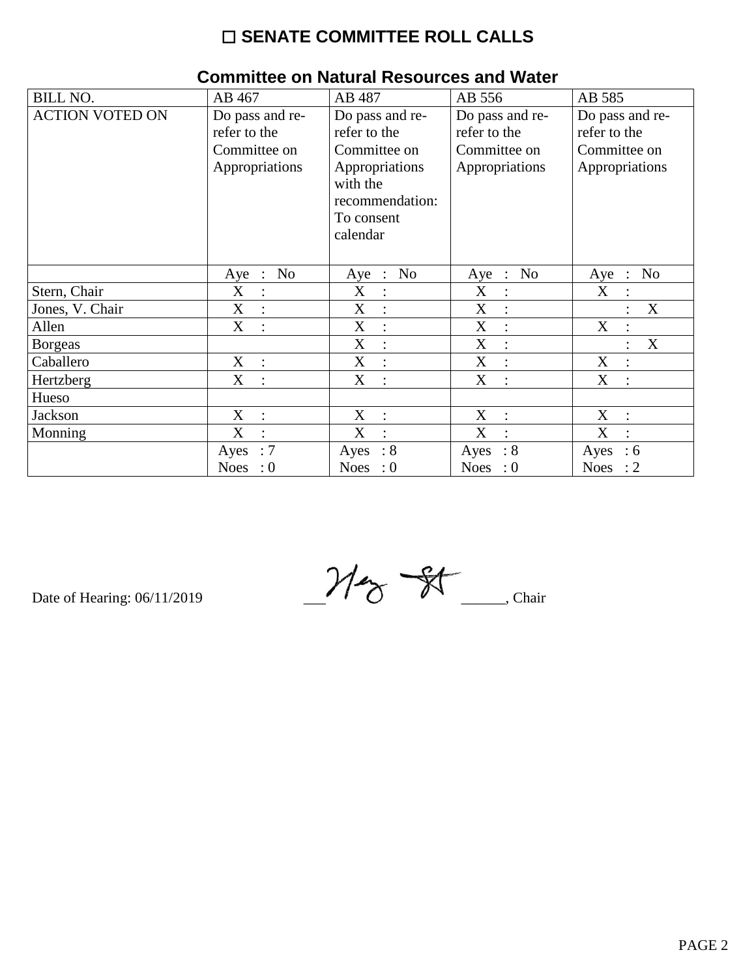# $\square$  SENATE COMMITTEE ROLL CALLS

| <b>BILL NO.</b>        | AB 467                                          | AB 487                                  | AB 556                                          | AB 585                                        |
|------------------------|-------------------------------------------------|-----------------------------------------|-------------------------------------------------|-----------------------------------------------|
| <b>ACTION VOTED ON</b> | Do pass and re-                                 | Do pass and re-                         | Do pass and re-                                 | Do pass and re-                               |
|                        | refer to the                                    | refer to the                            | refer to the                                    | refer to the                                  |
|                        | Committee on                                    | Committee on                            | Committee on                                    | Committee on                                  |
|                        | Appropriations                                  | Appropriations                          | Appropriations                                  | Appropriations                                |
|                        |                                                 | with the                                |                                                 |                                               |
|                        |                                                 | recommendation:                         |                                                 |                                               |
|                        |                                                 | To consent                              |                                                 |                                               |
|                        |                                                 | calendar                                |                                                 |                                               |
|                        |                                                 |                                         |                                                 |                                               |
|                        | N <sub>o</sub><br>Aye<br>$\ddot{\phantom{1}}$ : | N <sub>o</sub><br>Aye<br>$\ddot{\cdot}$ | N <sub>o</sub><br>Aye<br>$\ddot{\phantom{1}}$ : | N <sub>o</sub><br>Aye<br>$\ddot{\phantom{1}}$ |
| Stern, Chair           | X<br>$\ddot{\cdot}$                             | X<br>:                                  | X<br>$\ddot{\cdot}$                             | X                                             |
| Jones, V. Chair        | X<br>$\ddot{\cdot}$                             | X                                       | X<br>$\ddot{\cdot}$                             | X                                             |
| Allen                  | X<br>$\bullet$                                  | X<br>$\ddot{\cdot}$                     | X<br>$\ddot{\cdot}$                             | X<br>$\ddot{\phantom{a}}$                     |
| <b>Borgeas</b>         |                                                 | X<br>:                                  | X<br>$\ddot{\cdot}$                             | X                                             |
| Caballero              | X<br>$\ddot{\phantom{1}}$                       | X<br>$\ddot{\cdot}$                     | X<br>$\ddot{\cdot}$                             | X                                             |
| Hertzberg              | X<br>$\dot{\mathbb{I}}$                         | X<br>$\cdot$                            | X<br>$\ddot{\cdot}$                             | X<br>$\bullet$                                |
| Hueso                  |                                                 |                                         |                                                 |                                               |
| Jackson                | X<br>$\ddot{\cdot}$                             | X<br>$\ddot{\cdot}$                     | X<br>$\ddot{\cdot}$                             | X<br>$\ddot{\cdot}$                           |
| Monning                | X<br>$\ddot{\cdot}$                             | X<br>$\cdot$                            | X<br>$\cdot$                                    | X<br>$\bullet$                                |
|                        | $\therefore 7$<br>Ayes                          | $\therefore 8$<br>Ayes                  | $\therefore 8$<br>Ayes                          | Ayes<br>:6                                    |
|                        | Noes : $0$                                      | Noes : $0$                              | Noes : $0$                                      | Noes : $2$                                    |

# **Committee on Natural Resources and Water**

Date of Hearing: 06/11/2019

 $M_{\gamma}$  of  $M_{\gamma}$  Chair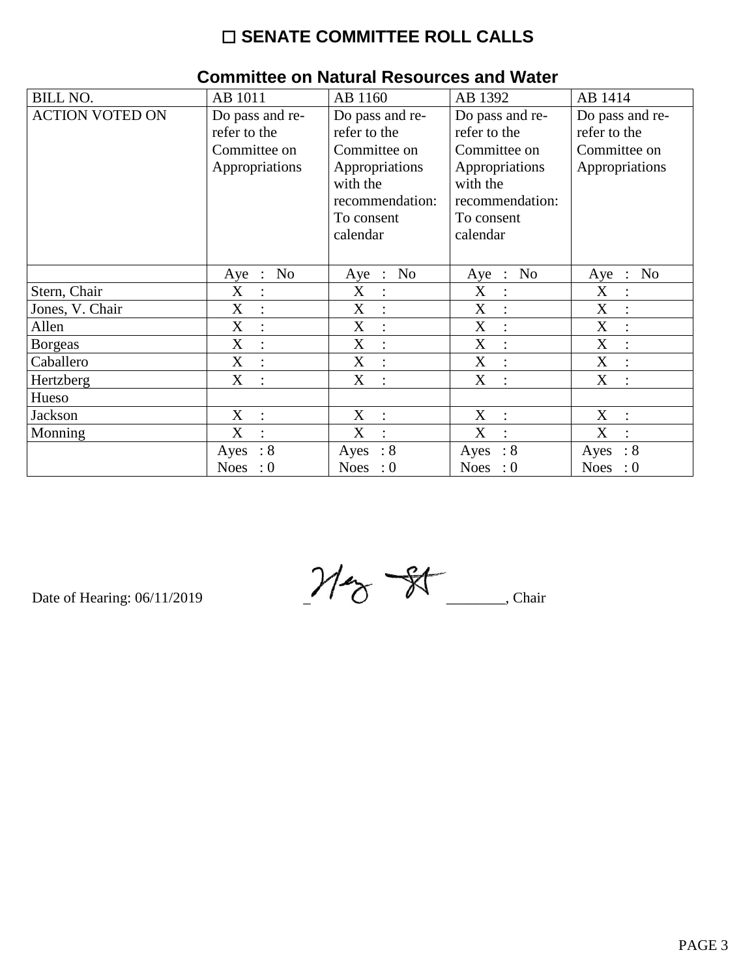# $\square$  SENATE COMMITTEE ROLL CALLS

| <b>BILL NO.</b>        | AB 1011                             | AB 1160                             | AB 1392                                     | AB 1414                                       |
|------------------------|-------------------------------------|-------------------------------------|---------------------------------------------|-----------------------------------------------|
| <b>ACTION VOTED ON</b> | Do pass and re-                     | Do pass and re-                     | Do pass and re-                             | Do pass and re-                               |
|                        | refer to the                        | refer to the                        | refer to the                                | refer to the                                  |
|                        | Committee on                        | Committee on                        | Committee on                                | Committee on                                  |
|                        | Appropriations                      | Appropriations                      | Appropriations                              | Appropriations                                |
|                        |                                     | with the                            | with the                                    |                                               |
|                        |                                     | recommendation:                     | recommendation:                             |                                               |
|                        |                                     | To consent                          | To consent                                  |                                               |
|                        |                                     | calendar                            | calendar                                    |                                               |
|                        |                                     |                                     |                                             |                                               |
|                        | No<br>Aye<br>$\ddot{\phantom{1}}$ : | No<br>Aye<br>$\ddot{\phantom{1}}$ : | No<br>Aye<br>$\dddot{\phantom{1}}$ :        | N <sub>o</sub><br>Aye<br>$\ddot{\phantom{1}}$ |
| Stern, Chair           | X<br>$\ddot{\cdot}$                 | X                                   | X<br>$\ddot{\cdot}$                         | X                                             |
| Jones, V. Chair        | X                                   | X                                   | X                                           | X                                             |
| Allen                  | X<br>$\ddot{\cdot}$                 | X                                   | X<br>$\ddot{\cdot}$                         | X                                             |
| <b>Borgeas</b>         | X<br>$\ddot{\cdot}$                 | X                                   | X<br>$\ddot{\cdot}$                         | X                                             |
| Caballero              | X<br>$\ddot{\cdot}$                 | X<br>$\ddot{\cdot}$                 | $\boldsymbol{\mathrm{X}}$<br>$\ddot{\cdot}$ | X                                             |
| Hertzberg              | X<br>$\ddot{\cdot}$                 | X<br>$\ddot{\cdot}$                 | X<br>$\ddot{\phantom{a}}$                   | X                                             |
| Hueso                  |                                     |                                     |                                             |                                               |
| Jackson                | $X_{\mathcal{C}}$<br>$\therefore$   | X<br>$\ddot{\phantom{1}}$ :         | X<br>$\ddot{\cdot}$                         | X<br>$\ddot{\cdot}$                           |
| Monning                | X<br>$\ddot{\cdot}$                 | X<br>$\bullet$                      | X<br>$\bullet$                              | X<br>$\bullet$                                |
|                        | $\therefore 8$<br>Ayes              | $\therefore 8$<br>Ayes              | $\therefore 8$<br>Ayes                      | $\therefore 8$<br>Ayes                        |
|                        | Noes : $0$                          | Noes : $0$                          | Noes : $0$                                  | Noes : $0$                                    |

#### **Committee on Natural Resources and Water**

Date of Hearing: 06/11/2019

 $M_{\textrm{c}}$  of  $M_{\textrm{c}}$